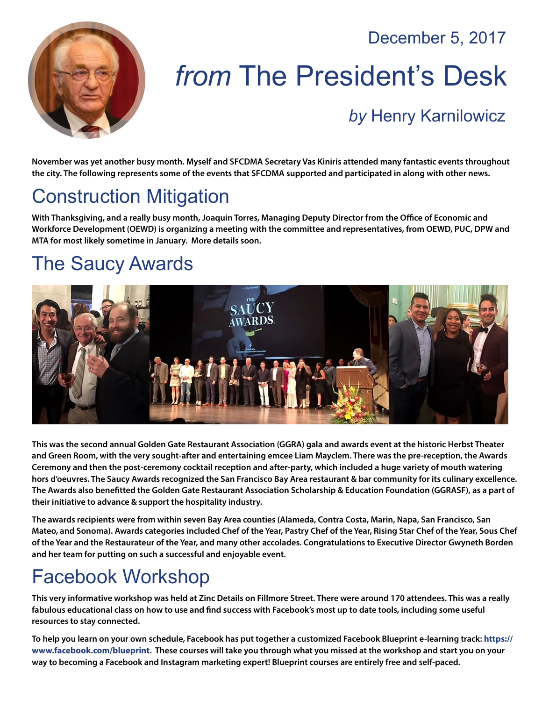December 5, 2017



# *from* The President's Desk

#### *by* [Henry Karnilowicz](mailto:henry@sfcdma.org)

**November was yet another busy month. Myself and SFCDMA Secretary Vas Kiniris attended many fantastic events throughout the city. The following represents some of the events that SFCDMA supported and participated in along with other news.**

#### Construction Mitigation

**With Thanksgiving, and a really busy month, Joaquin Torres, Managing Deputy Director from the Office of Economic and Workforce Development (OEWD) is organizing a meeting with the committee and representatives, from OEWD, PUC, DPW and MTA for most likely sometime in January. More details soon.**

#### The Saucy Awards



**This was the second annual Golden Gate Restaurant Association (GGRA) gala and awards event at the historic Herbst Theater and Green Room, with the very sought-after and entertaining emcee Liam Mayclem. There was the pre-reception, the Awards Ceremony and then the post-ceremony cocktail reception and after-party, which included a huge variety of mouth watering hors d'oeuvres. The Saucy Awards recognized the San Francisco Bay Area restaurant & bar community for its culinary excellence. The Awards also benefitted the Golden Gate Restaurant Association Scholarship & Education Foundation (GGRASF), as a part of their initiative to advance & support the hospitality industry.** 

**The awards recipients were from within seven Bay Area counties (Alameda, Contra Costa, Marin, Napa, San Francisco, San Mateo, and Sonoma). Awards categories included Chef of the Year, Pastry Chef of the Year, Rising Star Chef of the Year, Sous Chef of the Year and the Restaurateur of the Year, and many other accolades. Congratulations to Executive Director Gwyneth Borden and her team for putting on such a successful and enjoyable event.**

#### Facebook Workshop

**This very informative workshop was held at Zinc Details on Fillmore Street. There were around 170 attendees. This was a really fabulous educational class on how to use and find success with Facebook's most up to date tools, including some useful resources to stay connected.**

**To help you learn on your own schedule, Facebook has put together a customized Facebook Blueprint e-learning track: [https://](https://www.facebook.com/blueprint) [www.facebook.com/blueprint](https://www.facebook.com/blueprint). These courses will take you through what you missed at the workshop and start you on your**  way to becoming a Facebook and Instagram marketing expert! Blueprint courses are entirely free and self-paced.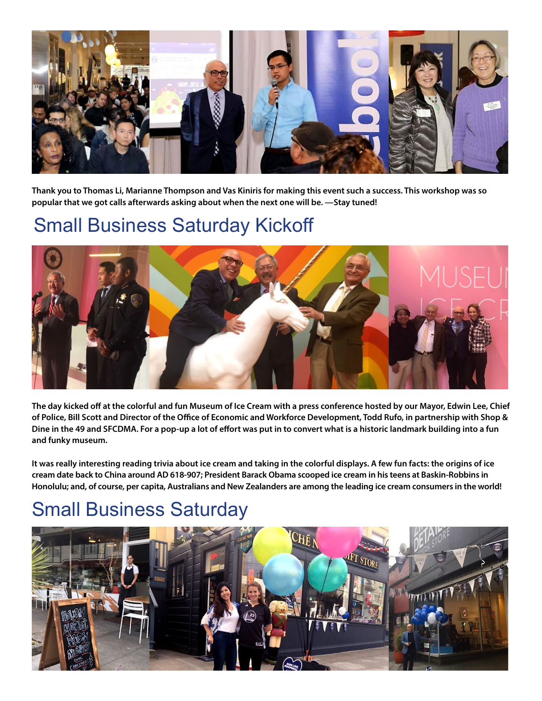

**Thank you to Thomas Li, Marianne Thompson and Vas Kiniris for making this event such a success. This workshop was so popular that we got calls afterwards asking about when the next one will be. —Stay tuned!**

#### Small Business Saturday Kickoff



**The day kicked off at the colorful and fun Museum of Ice Cream with a press conference hosted by our Mayor, Edwin Lee, Chief of Police, Bill Scott and Director of the Office of Economic and Workforce Development, Todd Rufo, in partnership with Shop & Dine in the 49 and SFCDMA. For a pop-up a lot of effort was put in to convert what is a historic landmark building into a fun and funky museum.** 

**It was really interesting reading trivia about ice cream and taking in the colorful displays. A few fun facts: the origins of ice cream date back to China around AD 618-907; President Barack Obama scooped ice cream in his teens at Baskin-Robbins in Honolulu; and, of course, per capita, Australians and New Zealanders are among the leading ice cream consumers in the world!**

#### Small Business Saturday

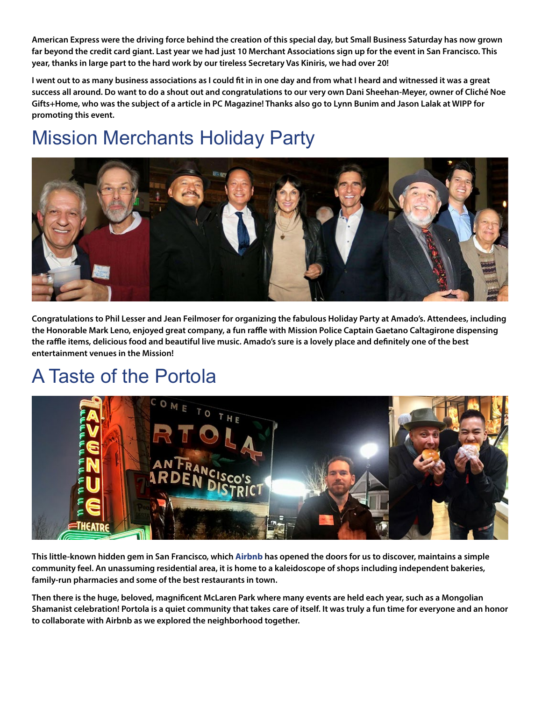**American Express were the driving force behind the creation of this special day, but Small Business Saturday has now grown far beyond the credit card giant. Last year we had just 10 Merchant Associations sign up for the event in San Francisco. This year, thanks in large part to the hard work by our tireless Secretary Vas Kiniris, we had over 20!** 

**I went out to as many business associations as I could fit in in one day and from what I heard and witnessed it was a great success all around. Do want to do a shout out and congratulations to our very own Dani Sheehan-Meyer, owner of Cliché Noe Gifts+Home, who was the subject of a article in PC Magazine! Thanks also go to Lynn Bunim and Jason Lalak at WIPP for promoting this event.**

### Mission Merchants Holiday Party



**Congratulations to Phil Lesser and Jean Feilmoser for organizing the fabulous Holiday Party at Amado's. Attendees, including the Honorable Mark Leno, enjoyed great company, a fun raffle with Mission Police Captain Gaetano Caltagirone dispensing the raffle items, delicious food and beautiful live music. Amado's sure is a lovely place and definitely one of the best entertainment venues in the Mission!**

### A Taste of the Portola



**This little-known hidden gem in San Francisco, which [Airbnb](www.airbnb.com) has opened the doors for us to discover, maintains a simple community feel. An unassuming residential area, it is home to a kaleidoscope of shops including independent bakeries, family-run pharmacies and some of the best restaurants in town.**

**Then there is the huge, beloved, magnificent McLaren Park where many events are held each year, such as a Mongolian Shamanist celebration! Portola is a quiet community that takes care of itself. It was truly a fun time for everyone and an honor to collaborate with Airbnb as we explored the neighborhood together.**